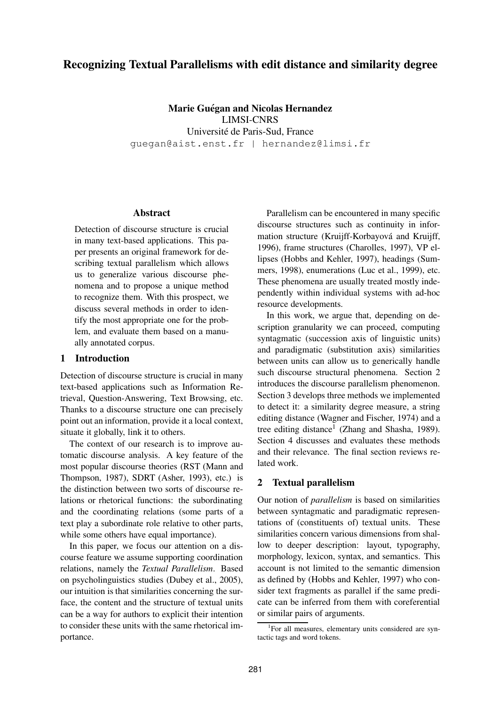# **Recognizing Textual Parallelisms with edit distance and similarity degree**

**Marie Guégan and Nicolas Hernandez** LIMSI-CNRS Université de Paris-Sud, France guegan@aist.enst.fr | hernandez@limsi.fr

## **Abstract**

Detection of discourse structure is crucial in many text-based applications. This paper presents an original framework for describing textual parallelism which allows us to generalize various discourse phenomena and to propose a unique method to recognize them. With this prospect, we discuss several methods in order to identify the most appropriate one for the problem, and evaluate them based on a manually annotated corpus.

## **1 Introduction**

Detection of discourse structure is crucial in many text-based applications such as Information Retrieval, Question-Answering, Text Browsing, etc. Thanks to a discourse structure one can precisely point out an information, provide it a local context, situate it globally, link it to others.

The context of our research is to improve automatic discourse analysis. A key feature of the most popular discourse theories (RST (Mann and Thompson, 1987), SDRT (Asher, 1993), etc.) is the distinction between two sorts of discourse relations or rhetorical functions: the subordinating and the coordinating relations (some parts of a text play a subordinate role relative to other parts, while some others have equal importance).

In this paper, we focus our attention on a discourse feature we assume supporting coordination relations, namely the *Textual Parallelism*. Based on psycholinguistics studies (Dubey et al., 2005), our intuition is that similarities concerning the surface, the content and the structure of textual units can be a way for authors to explicit their intention to consider these units with the same rhetorical importance.

Parallelism can be encountered in many specific discourse structures such as continuity in information structure (Kruijff-Korbayová and Kruijff, 1996), frame structures (Charolles, 1997), VP ellipses (Hobbs and Kehler, 1997), headings (Summers, 1998), enumerations (Luc et al., 1999), etc. These phenomena are usually treated mostly independently within individual systems with ad-hoc resource developments.

In this work, we argue that, depending on description granularity we can proceed, computing syntagmatic (succession axis of linguistic units) and paradigmatic (substitution axis) similarities between units can allow us to generically handle such discourse structural phenomena. Section 2 introduces the discourse parallelism phenomenon. Section 3 develops three methods we implemented to detect it: a similarity degree measure, a string editing distance (Wagner and Fischer, 1974) and a tree editing distance<sup>1</sup> (Zhang and Shasha, 1989). Section 4 discusses and evaluates these methods and their relevance. The final section reviews related work.

## **2 Textual parallelism**

Our notion of *parallelism* is based on similarities between syntagmatic and paradigmatic representations of (constituents of) textual units. These similarities concern various dimensions from shallow to deeper description: layout, typography, morphology, lexicon, syntax, and semantics. This account is not limited to the semantic dimension as defined by (Hobbs and Kehler, 1997) who consider text fragments as parallel if the same predicate can be inferred from them with coreferential or similar pairs of arguments.

<sup>1</sup> For all measures, elementary units considered are syntactic tags and word tokens.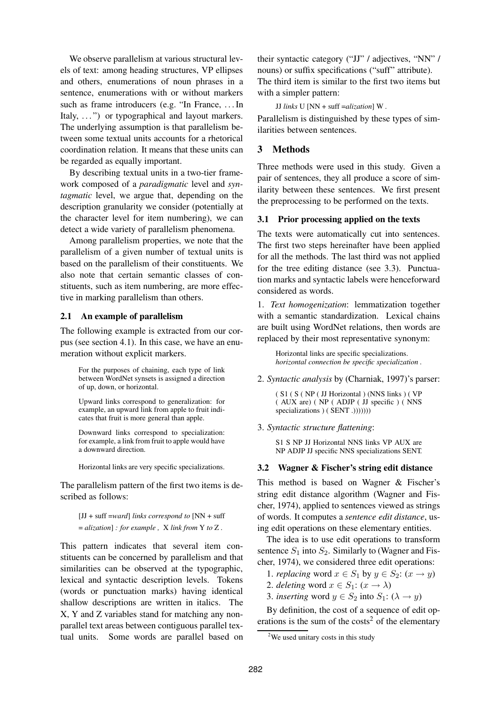We observe parallelism at various structural levels of text: among heading structures, VP ellipses and others, enumerations of noun phrases in a sentence, enumerations with or without markers such as frame introducers (e.g. "In France, . . . In Italy, ...") or typographical and layout markers. The underlying assumption is that parallelism between some textual units accounts for a rhetorical coordination relation. It means that these units can be regarded as equally important.

By describing textual units in a two-tier framework composed of a *paradigmatic* level and *syntagmatic* level, we argue that, depending on the description granularity we consider (potentially at the character level for item numbering), we can detect a wide variety of parallelism phenomena.

Among parallelism properties, we note that the parallelism of a given number of textual units is based on the parallelism of their constituents. We also note that certain semantic classes of constituents, such as item numbering, are more effective in marking parallelism than others.

## **2.1 An example of parallelism**

The following example is extracted from our corpus (see section 4.1). In this case, we have an enumeration without explicit markers.

For the purposes of chaining, each type of link between WordNet synsets is assigned a direction of up, down, or horizontal.

Upward links correspond to generalization: for example, an upward link from apple to fruit indicates that fruit is more general than apple.

Downward links correspond to specialization: for example, a link from fruit to apple would have a downward direction.

Horizontal links are very specific specializations.

The parallelism pattern of the first two items is described as follows:

[JJ + suff =*ward*] *links correspond to* [NN + suff = *alization*] *: for example ,* X *link from* Y *to* Z *.*

This pattern indicates that several item constituents can be concerned by parallelism and that similarities can be observed at the typographic, lexical and syntactic description levels. Tokens (words or punctuation marks) having identical shallow descriptions are written in italics. The X, Y and Z variables stand for matching any nonparallel text areas between contiguous parallel textual units. Some words are parallel based on their syntactic category ("JJ" / adjectives, "NN" / nouns) or suffix specifications ("suff" attribute). The third item is similar to the first two items but with a simpler pattern:

JJ *links* U [NN + suff =*alization*] W *.*

Parallelism is distinguished by these types of similarities between sentences.

## **3 Methods**

Three methods were used in this study. Given a pair of sentences, they all produce a score of similarity between these sentences. We first present the preprocessing to be performed on the texts.

## **3.1 Prior processing applied on the texts**

The texts were automatically cut into sentences. The first two steps hereinafter have been applied for all the methods. The last third was not applied for the tree editing distance (see 3.3). Punctuation marks and syntactic labels were henceforward considered as words.

1. *Text homogenization*: lemmatization together with a semantic standardization. Lexical chains are built using WordNet relations, then words are replaced by their most representative synonym:

Horizontal links are specific specializations. *horizontal connection be specific specialization .*

2. *Syntactic analysis* by (Charniak, 1997)'s parser:

( S1 ( S ( NP ( JJ Horizontal ) (NNS links ) ( VP ( AUX are) ( NP ( ADJP ( JJ specific ) ( NNS specializations ) ( SENT .))))))))

3. *Syntactic structure flattening*:

S1 S NP JJ Horizontal NNS links VP AUX are NP ADJP JJ specific NNS specializations SENT.

## **3.2 Wagner & Fischer's string edit distance**

This method is based on Wagner & Fischer's string edit distance algorithm (Wagner and Fischer, 1974), applied to sentences viewed as strings of words. It computes a *sentence edit distance*, using edit operations on these elementary entities.

The idea is to use edit operations to transform sentence  $S_1$  into  $S_2$ . Similarly to (Wagner and Fischer, 1974), we considered three edit operations:

1. *replacing* word  $x \in S_1$  by  $y \in S_2$ :  $(x \to y)$ 

2. *deleting* word  $x \in S_1$ :  $(x \to \lambda)$ 

3. *inserting* word  $y \in S_2$  into  $S_1$ :  $(\lambda \rightarrow y)$ 

By definition, the cost of a sequence of edit operations is the sum of the  $costs<sup>2</sup>$  of the elementary

<sup>&</sup>lt;sup>2</sup>We used unitary costs in this study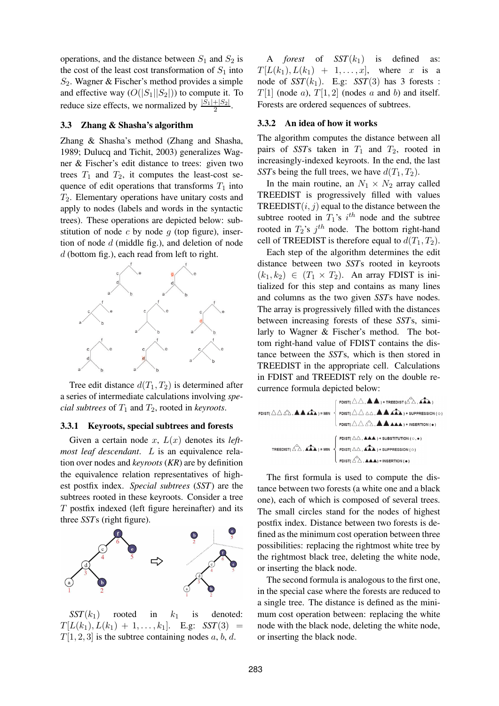operations, and the distance between  $S_1$  and  $S_2$  is the cost of the least cost transformation of  $S_1$  into  $S_2$ . Wagner & Fischer's method provides a simple and effective way  $(O(|S_1||S_2|))$  to compute it. To reduce size effects, we normalized by  $\frac{|\tilde{S}_1|+|S_2|}{2}$ .

## **3.3 Zhang & Shasha's algorithm**

Zhang & Shasha's method (Zhang and Shasha, 1989; Dulucq and Tichit, 2003) generalizes Wagner & Fischer's edit distance to trees: given two trees  $T_1$  and  $T_2$ , it computes the least-cost sequence of edit operations that transforms  $T_1$  into  $T_2$ . Elementary operations have unitary costs and apply to nodes (labels and words in the syntactic trees). These operations are depicted below: substitution of node c by node  $q$  (top figure), insertion of node  $d$  (middle fig.), and deletion of node d (bottom fig.), each read from left to right.



Tree edit distance  $d(T_1, T_2)$  is determined after a series of intermediate calculations involving *special subtrees* of  $T_1$  and  $T_2$ , rooted in *keyroots*.

### **3.3.1 Keyroots, special subtrees and forests**

Given a certain node  $x$ ,  $L(x)$  denotes its *leftmost leaf descendant*. L is an equivalence relation over nodes and *keyroots* (*KR*) are by definition the equivalence relation representatives of highest postfix index. *Special subtrees* (*SST*) are the subtrees rooted in these keyroots. Consider a tree  $T$  postfix indexed (left figure hereinafter) and its three *SST*s (right figure).



 $SST(k_1)$  rooted in  $k_1$  is denoted:  $T[L(k_1), L(k_1) + 1, \ldots, k_1]$ . E.g: *SST*(3) =  $T[1, 2, 3]$  is the subtree containing nodes a, b, d.

A *forest* of  $SST(k_1)$  is defined as:  $T[L(k_1), L(k_1) + 1, \ldots, x]$ , where x is a node of  $SST(k_1)$ . E.g:  $SST(3)$  has 3 forests :  $T[1]$  (node a),  $T[1, 2]$  (nodes a and b) and itself. Forests are ordered sequences of subtrees.

### **3.3.2 An idea of how it works**

The algorithm computes the distance between all pairs of *SST*s taken in  $T_1$  and  $T_2$ , rooted in increasingly-indexed keyroots. In the end, the last *SST*s being the full trees, we have  $d(T_1, T_2)$ .

In the main routine, an  $N_1 \times N_2$  array called TREEDIST is progressively filled with values TREEDIST $(i, j)$  equal to the distance between the subtree rooted in  $T_1$ 's i<sup>th</sup> node and the subtree rooted in  $T_2$ 's  $j^{th}$  node. The bottom right-hand cell of TREEDIST is therefore equal to  $d(T_1, T_2)$ .

Each step of the algorithm determines the edit distance between two *SST*s rooted in keyroots  $(k_1, k_2) \in (T_1 \times T_2)$ . An array FDIST is initialized for this step and contains as many lines and columns as the two given *SST*s have nodes. The array is progressively filled with the distances between increasing forests of these *SST*s, similarly to Wagner & Fischer's method. The bottom right-hand value of FDIST contains the distance between the *SST*s, which is then stored in TREEDIST in the appropriate cell. Calculations in FDIST and TREEDIST rely on the double recurrence formula depicted below:

The first formula is used to compute the distance between two forests (a white one and a black one), each of which is composed of several trees. The small circles stand for the nodes of highest postfix index. Distance between two forests is defined as the minimum cost operation between three possibilities: replacing the rightmost white tree by the rightmost black tree, deleting the white node, or inserting the black node.

The second formula is analogous to the first one, in the special case where the forests are reduced to a single tree. The distance is defined as the minimum cost operation between: replacing the white node with the black node, deleting the white node, or inserting the black node.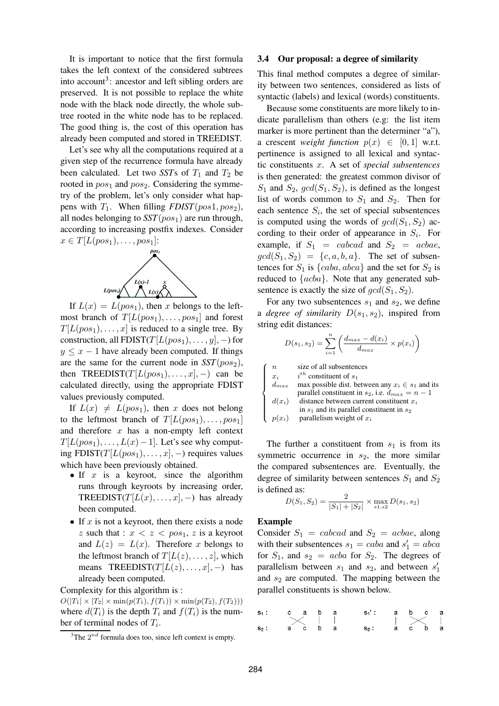It is important to notice that the first formula takes the left context of the considered subtrees into account<sup>3</sup>: ancestor and left sibling orders are preserved. It is not possible to replace the white node with the black node directly, the whole subtree rooted in the white node has to be replaced. The good thing is, the cost of this operation has already been computed and stored in TREEDIST.

Let's see why all the computations required at a given step of the recurrence formula have already been calculated. Let two *SST*s of  $T_1$  and  $T_2$  be rooted in  $pos_1$  and  $pos_2$ . Considering the symmetry of the problem, let's only consider what happens with  $T_1$ . When filling  $FDIST(pos1, pos_2)$ , all nodes belonging to  $SST(pos<sub>1</sub>)$  are run through, according to increasing postfix indexes. Consider  $x \in T[L(pos_1), \ldots, pos_1]:$ 



If  $L(x) = L(pos_1)$ , then x belongs to the leftmost branch of  $T[L(pos_1), \ldots, pos_1]$  and forest  $T[L(pos_1), \ldots, x]$  is reduced to a single tree. By construction, all FDIST( $T[L(pos_1), \ldots, y], -$ ) for  $y \leq x - 1$  have already been computed. If things are the same for the current node in  $SST(pos<sub>2</sub>)$ , then TREEDIST( $T[L(pos_1), \ldots, x], -)$  can be calculated directly, using the appropriate FDIST values previously computed.

If  $L(x) \neq L(pos_1)$ , then x does not belong to the leftmost branch of  $T[L(pos_1), \ldots, pos_1]$ and therefore  $x$  has a non-empty left context  $T[L(pos_1), \ldots, L(x)-1]$ . Let's see why computing FDIST( $T[L(pos_1), \ldots, x]$ , –) requires values which have been previously obtained.

- If  $x$  is a keyroot, since the algorithm runs through keyroots by increasing order, TREEDIST( $T[L(x),...,x], -$ ) has already been computed.
- If  $x$  is not a keyroot, then there exists a node z such that :  $x < z < pos_1$ , z is a keyroot and  $L(z) = L(x)$ . Therefore x belongs to the leftmost branch of  $T[L(z), \ldots, z]$ , which means TREEDIST( $T[L(z), \ldots, x]$ , −) has already been computed.

Complexity for this algorithm is :

 $O(|T_1| \times |T_2| \times \min(p(T_1), f(T_1)) \times \min(p(T_2), f(T_2)))$ where  $d(T_i)$  is the depth  $T_i$  and  $f(T_i)$  is the number of terminal nodes of  $T_i$ .

### **3.4 Our proposal: a degree of similarity**

This final method computes a degree of similarity between two sentences, considered as lists of syntactic (labels) and lexical (words) constituents.

Because some constituents are more likely to indicate parallelism than others (e.g: the list item marker is more pertinent than the determiner "a"), a crescent *weight function*  $p(x) \in [0, 1]$  w.r.t. pertinence is assigned to all lexical and syntactic constituents x. A set of *special subsentences* is then generated: the greatest common divisor of  $S_1$  and  $S_2$ ,  $gcd(S_1, S_2)$ , is defined as the longest list of words common to  $S_1$  and  $S_2$ . Then for each sentence  $S_i$ , the set of special subsentences is computed using the words of  $gcd(S_1, S_2)$  according to their order of appearance in  $S_i$ . For example, if  $S_1 = cabcad$  and  $S_2 = acbae$ ,  $gcd(S_1, S_2) = \{c, a, b, a\}.$  The set of subsentences for  $S_1$  is  $\{caba, abca\}$  and the set for  $S_2$  is reduced to {acba}. Note that any generated subsentence is exactly the size of  $gcd(S_1, S_2)$ .

For any two subsentences  $s_1$  and  $s_2$ , we define a *degree of similarity*  $D(s_1, s_2)$ , inspired from string edit distances:

$$
D(s_1, s_2) = \sum_{i=1}^{n} \left( \frac{d_{max} - d(x_i)}{d_{max}} \times p(x_i) \right)
$$

| $\boldsymbol{n}$ | size of all subsentences                               |
|------------------|--------------------------------------------------------|
| $x_i$            | $i^{th}$ constituent of $s_1$                          |
| $d_{max}$        | max possible dist. between any $x_i \in s_1$ and its   |
|                  | parallel constituent in $s_2$ , i.e. $d_{max} = n - 1$ |
|                  | $d(x_i)$ distance between current constituent $x_i$    |
|                  | in $s_1$ and its parallel constituent in $s_2$         |
| $p(x_i)$         | parallelism weight of $x_i$                            |

The further a constituent from  $s_1$  is from its symmetric occurrence in  $s_2$ , the more similar the compared subsentences are. Eventually, the degree of similarity between sentences  $S_1$  and  $S_2$ is defined as:

$$
D(S_1, S_2) = \frac{2}{|S_1| + |S_2|} \times \max_{s_1, s_2} D(s_1, s_2)
$$

#### **Example**

Consider  $S_1 = cabcad$  and  $S_2 = acbae$ , along with their subsentences  $s_1 = caba$  and  $s'_1 = abca$ for  $S_1$ , and  $s_2 = acba$  for  $S_2$ . The degrees of parallelism between  $s_1$  and  $s_2$ , and between  $s_1'$ and  $s_2$  are computed. The mapping between the parallel constituents is shown below.



 $3$ The  $2^{nd}$  formula does too, since left context is empty.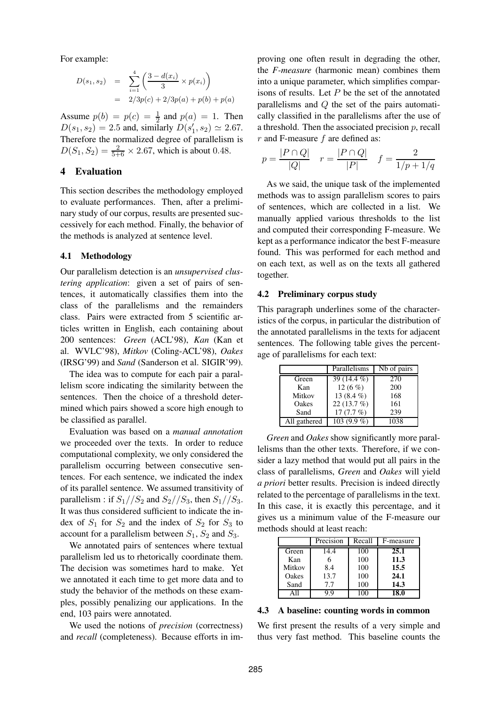For example:

$$
D(s_1, s_2) = \sum_{i=1}^{4} \left( \frac{3 - d(x_i)}{3} \times p(x_i) \right)
$$
  
= 2/3p(c) + 2/3p(a) + p(b) + p(a)

Assume  $p(b) = p(c) = \frac{1}{2}$  and  $p(a) = 1$ . Then  $D(s_1, s_2) = 2.5$  and, similarly  $D(s'_1, s_2) \simeq 2.67$ . Therefore the normalized degree of parallelism is  $D(S_1, S_2) = \frac{2}{5+6} \times 2.67$ , which is about 0.48.

## **4 Evaluation**

This section describes the methodology employed to evaluate performances. Then, after a preliminary study of our corpus, results are presented successively for each method. Finally, the behavior of the methods is analyzed at sentence level.

#### **4.1 Methodology**

Our parallelism detection is an *unsupervised clustering application*: given a set of pairs of sentences, it automatically classifies them into the class of the parallelisms and the remainders class. Pairs were extracted from 5 scientific articles written in English, each containing about 200 sentences: *Green* (ACL'98), *Kan* (Kan et al. WVLC'98), *Mitkov* (Coling-ACL'98), *Oakes* (IRSG'99) and *Sand* (Sanderson et al. SIGIR'99).

The idea was to compute for each pair a parallelism score indicating the similarity between the sentences. Then the choice of a threshold determined which pairs showed a score high enough to be classified as parallel.

Evaluation was based on a *manual annotation* we proceeded over the texts. In order to reduce computational complexity, we only considered the parallelism occurring between consecutive sentences. For each sentence, we indicated the index of its parallel sentence. We assumed transitivity of parallelism : if  $S_1//S_2$  and  $S_2//S_3$ , then  $S_1//S_3$ . It was thus considered sufficient to indicate the index of  $S_1$  for  $S_2$  and the index of  $S_2$  for  $S_3$  to account for a parallelism between  $S_1$ ,  $S_2$  and  $S_3$ .

We annotated pairs of sentences where textual parallelism led us to rhetorically coordinate them. The decision was sometimes hard to make. Yet we annotated it each time to get more data and to study the behavior of the methods on these examples, possibly penalizing our applications. In the end, 103 pairs were annotated.

We used the notions of *precision* (correctness) and *recall* (completeness). Because efforts in improving one often result in degrading the other, the *F-measure* (harmonic mean) combines them into a unique parameter, which simplifies comparisons of results. Let  $P$  be the set of the annotated parallelisms and Q the set of the pairs automatically classified in the parallelisms after the use of a threshold. Then the associated precision  $p$ , recall  $r$  and F-measure  $f$  are defined as:

$$
p = \frac{|P \cap Q|}{|Q|}
$$
  $r = \frac{|P \cap Q|}{|P|}$   $f = \frac{2}{1/p + 1/q}$ 

As we said, the unique task of the implemented methods was to assign parallelism scores to pairs of sentences, which are collected in a list. We manually applied various thresholds to the list and computed their corresponding F-measure. We kept as a performance indicator the best F-measure found. This was performed for each method and on each text, as well as on the texts all gathered together.

## **4.2 Preliminary corpus study**

This paragraph underlines some of the characteristics of the corpus, in particular the distribution of the annotated parallelisms in the texts for adjacent sentences. The following table gives the percentage of parallelisms for each text:

|              | Parallelisms  | Nb of pairs |
|--------------|---------------|-------------|
| Green        | 39 (14.4 %)   | 270         |
| Kan          | 12 $(6 \%)$   | 200         |
| Mitkov       | 13 $(8.4\%)$  | 168         |
| Oakes        | 22 $(13.7\%)$ | 161         |
| Sand         | 17(7.7%)      | 239         |
| All gathered | $103(9.9\%)$  | 1038        |

*Green* and *Oakes* show significantly more parallelisms than the other texts. Therefore, if we consider a lazy method that would put all pairs in the class of parallelisms, *Green* and *Oakes* will yield *a priori* better results. Precision is indeed directly related to the percentage of parallelisms in the text. In this case, it is exactly this percentage, and it gives us a minimum value of the F-measure our methods should at least reach:

|        | Precision | Recall | F-measure |
|--------|-----------|--------|-----------|
| Green  | 14.4      | 100    | 25.1      |
| Kan    |           | 100    | 11.3      |
| Mitkov | 8.4       | 100    | 15.5      |
| Oakes  | 13.7      | 100    | 24.1      |
| Sand   | 7.7       | 100    | 14.3      |
|        |           |        | 18.0      |

## **4.3 A baseline: counting words in common**

We first present the results of a very simple and thus very fast method. This baseline counts the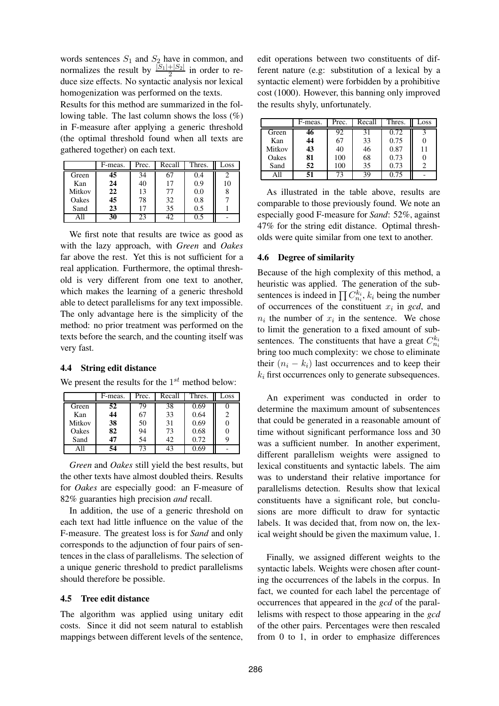words sentences  $S_1$  and  $S_2$  have in common, and normalizes the result by  $\frac{|S_1|+|S_2|}{2}$  in order to reduce size effects. No syntactic analysis nor lexical homogenization was performed on the texts.

Results for this method are summarized in the following table. The last column shows the loss (%) in F-measure after applying a generic threshold (the optimal threshold found when all texts are gathered together) on each text.

|        | F-meas. | Prec. | Recall | Thres. | Loss |
|--------|---------|-------|--------|--------|------|
| Green  | 45      | 34    |        | 0.4    |      |
| Kan    | 24      | 40    | 17     | 0.9    | 10   |
| Mitkov | 22      | 13    | 77     | 0.0    |      |
| Oakes  | 45      | 78    | 32     | 0.8    |      |
| Sand   | 23      | 17    | 35     | 0.5    |      |
|        | 30      | 23    |        | 0.5    |      |

We first note that results are twice as good as with the lazy approach, with *Green* and *Oakes* far above the rest. Yet this is not sufficient for a real application. Furthermore, the optimal threshold is very different from one text to another, which makes the learning of a generic threshold able to detect parallelisms for any text impossible. The only advantage here is the simplicity of the method: no prior treatment was performed on the texts before the search, and the counting itself was very fast.

## **4.4 String edit distance**

We present the results for the  $1^{st}$  method below:

|        | F-meas. | Prec. | Recall | Thres. | Loss |
|--------|---------|-------|--------|--------|------|
| Green  | 52      | 79    | 38     | 0.69   |      |
| Kan    | 44      | 67    | 33     | 0.64   |      |
| Mitkov | 38      | 50    | 31     | 0.69   |      |
| Oakes  | 82      | 94    | 73     | 0.68   |      |
| Sand   | 47      | 54    | 42     | 0.72   |      |
|        | 54      | 73    | 43     | 9.69   |      |

*Green* and *Oakes* still yield the best results, but the other texts have almost doubled theirs. Results for *Oakes* are especially good: an F-measure of 82% guaranties high precision *and* recall.

In addition, the use of a generic threshold on each text had little influence on the value of the F-measure. The greatest loss is for *Sand* and only corresponds to the adjunction of four pairs of sentences in the class of parallelisms. The selection of a unique generic threshold to predict parallelisms should therefore be possible.

#### **4.5 Tree edit distance**

The algorithm was applied using unitary edit costs. Since it did not seem natural to establish mappings between different levels of the sentence,

edit operations between two constituents of different nature (e.g: substitution of a lexical by a syntactic element) were forbidden by a prohibitive cost (1000). However, this banning only improved the results shyly, unfortunately.

|        | F-meas. | Prec. | Recall | Thres. | Loss |
|--------|---------|-------|--------|--------|------|
| Green  | 46      | 92    | 31     | 0.72   |      |
| Kan    | 44      | 67    | 33     | 0.75   |      |
| Mitkov | 43      | 40    | 46     | 0.87   | 11   |
| Oakes  | 81      | 100   | 68     | 0.73   |      |
| Sand   | 52      | 100   | 35     | 0.73   |      |
| All    | 51      | 73    | 39     | 0.75   |      |

As illustrated in the table above, results are comparable to those previously found. We note an especially good F-measure for *Sand*: 52%, against 47% for the string edit distance. Optimal thresholds were quite similar from one text to another.

#### **4.6 Degree of similarity**

Because of the high complexity of this method, a heuristic was applied. The generation of the subsentences is indeed in  $\prod C_{n_i}^{k_i}$ ,  $k_i$  being the number of occurrences of the constituent  $x_i$  in *gcd*, and  $n_i$  the number of  $x_i$  in the sentence. We chose to limit the generation to a fixed amount of subsentences. The constituents that have a great  $C_{n_i}^{k_i}$ bring too much complexity: we chose to eliminate their  $(n_i - k_i)$  last occurrences and to keep their  $k_i$  first occurrences only to generate subsequences.

An experiment was conducted in order to determine the maximum amount of subsentences that could be generated in a reasonable amount of time without significant performance loss and 30 was a sufficient number. In another experiment, different parallelism weights were assigned to lexical constituents and syntactic labels. The aim was to understand their relative importance for parallelisms detection. Results show that lexical constituents have a significant role, but conclusions are more difficult to draw for syntactic labels. It was decided that, from now on, the lexical weight should be given the maximum value, 1.

Finally, we assigned different weights to the syntactic labels. Weights were chosen after counting the occurrences of the labels in the corpus. In fact, we counted for each label the percentage of occurrences that appeared in the *gcd* of the parallelisms with respect to those appearing in the *gcd* of the other pairs. Percentages were then rescaled from 0 to 1, in order to emphasize differences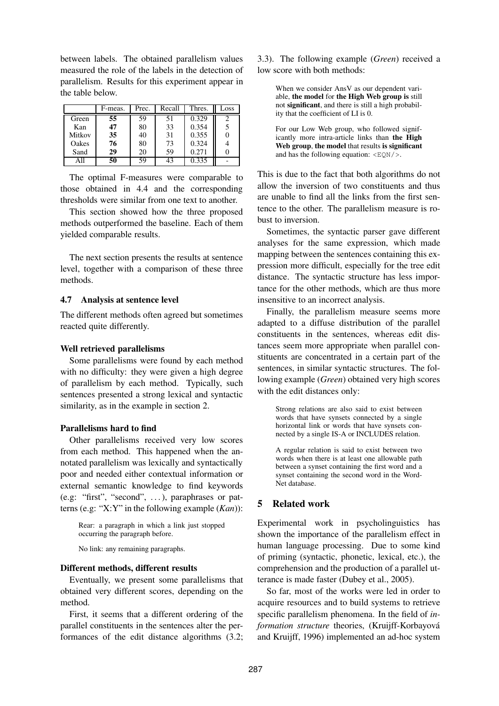between labels. The obtained parallelism values measured the role of the labels in the detection of parallelism. Results for this experiment appear in the table below.

|        | F-meas. | Prec. | Recall | Thres. | Loss |
|--------|---------|-------|--------|--------|------|
| Green  | 55      | 59    | 51     | 0.329  |      |
| Kan    | 47      | 80    | 33     | 0.354  |      |
| Mitkov | 35      | 40    | 31     | 0.355  |      |
| Oakes  | 76      | 80    | 73     | 0.324  |      |
| Sand   | 29      | 20    | 59     | 0.271  |      |
|        | 50      | 59    | 43     | 0.335  |      |

The optimal F-measures were comparable to those obtained in 4.4 and the corresponding thresholds were similar from one text to another.

This section showed how the three proposed methods outperformed the baseline. Each of them yielded comparable results.

The next section presents the results at sentence level, together with a comparison of these three methods.

## **4.7 Analysis at sentence level**

The different methods often agreed but sometimes reacted quite differently.

### **Well retrieved parallelisms**

Some parallelisms were found by each method with no difficulty: they were given a high degree of parallelism by each method. Typically, such sentences presented a strong lexical and syntactic similarity, as in the example in section 2.

#### **Parallelisms hard to find**

Other parallelisms received very low scores from each method. This happened when the annotated parallelism was lexically and syntactically poor and needed either contextual information or external semantic knowledge to find keywords (e.g: "first", "second", . . . ), paraphrases or patterns (e.g: "X:Y" in the following example (*Kan*)):

Rear: a paragraph in which a link just stopped occurring the paragraph before.

No link: any remaining paragraphs.

### **Different methods, different results**

Eventually, we present some parallelisms that obtained very different scores, depending on the method.

First, it seems that a different ordering of the parallel constituents in the sentences alter the performances of the edit distance algorithms (3.2; 3.3). The following example (*Green*) received a low score with both methods:

When we consider AnsV as our dependent variable, **the model** for **the High Web group is** still not **significant**, and there is still a high probability that the coefficient of LI is 0.

For our Low Web group, who followed significantly more intra-article links than **the High Web group**, **the model** that results **is significant** and has the following equation:  $\langle EQN \rangle$ .

This is due to the fact that both algorithms do not allow the inversion of two constituents and thus are unable to find all the links from the first sentence to the other. The parallelism measure is robust to inversion.

Sometimes, the syntactic parser gave different analyses for the same expression, which made mapping between the sentences containing this expression more difficult, especially for the tree edit distance. The syntactic structure has less importance for the other methods, which are thus more insensitive to an incorrect analysis.

Finally, the parallelism measure seems more adapted to a diffuse distribution of the parallel constituents in the sentences, whereas edit distances seem more appropriate when parallel constituents are concentrated in a certain part of the sentences, in similar syntactic structures. The following example (*Green*) obtained very high scores with the edit distances only:

Strong relations are also said to exist between words that have synsets connected by a single horizontal link or words that have synsets connected by a single IS-A or INCLUDES relation.

A regular relation is said to exist between two words when there is at least one allowable path between a synset containing the first word and a synset containing the second word in the Word-Net database.

## **5 Related work**

Experimental work in psycholinguistics has shown the importance of the parallelism effect in human language processing. Due to some kind of priming (syntactic, phonetic, lexical, etc.), the comprehension and the production of a parallel utterance is made faster (Dubey et al., 2005).

So far, most of the works were led in order to acquire resources and to build systems to retrieve specific parallelism phenomena. In the field of *in*formation structure theories, (Kruijff-Korbayová and Kruijff, 1996) implemented an ad-hoc system